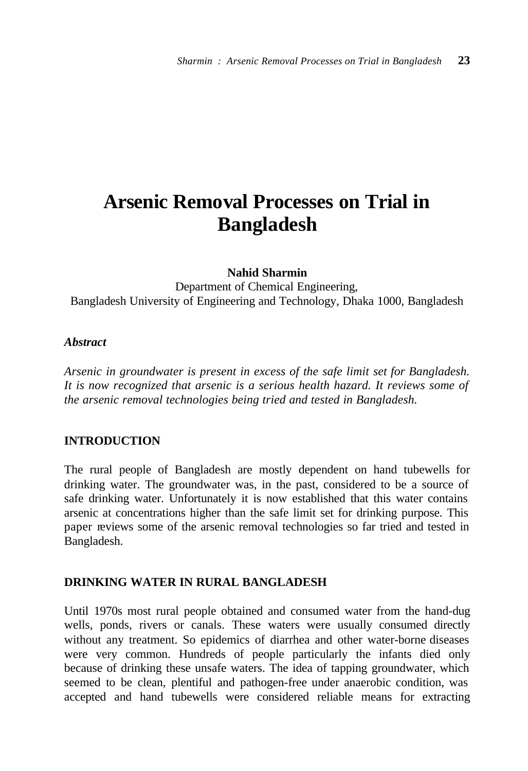# **Arsenic Removal Processes on Trial in Bangladesh**

**Nahid Sharmin**

Department of Chemical Engineering, Bangladesh University of Engineering and Technology, Dhaka 1000, Bangladesh

## *Abstract*

*Arsenic in groundwater is present in excess of the safe limit set for Bangladesh. It is now recognized that arsenic is a serious health hazard. It reviews some of the arsenic removal technologies being tried and tested in Bangladesh.*

## **INTRODUCTION**

The rural people of Bangladesh are mostly dependent on hand tubewells for drinking water. The groundwater was, in the past, considered to be a source of safe drinking water. Unfortunately it is now established that this water contains arsenic at concentrations higher than the safe limit set for drinking purpose. This paper reviews some of the arsenic removal technologies so far tried and tested in Bangladesh.

## **DRINKING WATER IN RURAL BANGLADESH**

Until 1970s most rural people obtained and consumed water from the hand-dug wells, ponds, rivers or canals. These waters were usually consumed directly without any treatment. So epidemics of diarrhea and other water-borne diseases were very common. Hundreds of people particularly the infants died only because of drinking these unsafe waters. The idea of tapping groundwater, which seemed to be clean, plentiful and pathogen-free under anaerobic condition, was accepted and hand tubewells were considered reliable means for extracting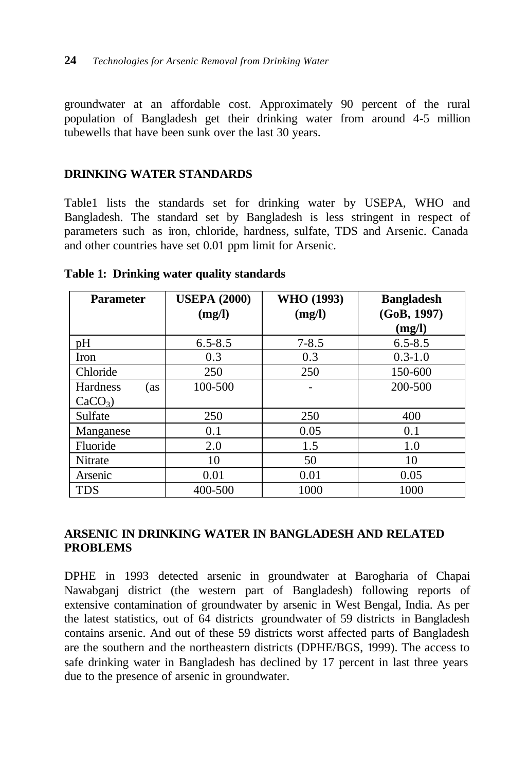groundwater at an affordable cost. Approximately 90 percent of the rural population of Bangladesh get their drinking water from around 4-5 million tubewells that have been sunk over the last 30 years.

## **DRINKING WATER STANDARDS**

Table1 lists the standards set for drinking water by USEPA, WHO and Bangladesh. The standard set by Bangladesh is less stringent in respect of parameters such as iron, chloride, hardness, sulfate, TDS and Arsenic. Canada and other countries have set 0.01 ppm limit for Arsenic.

| <b>Parameter</b>       | <b>USEPA (2000)</b> | WHO (1993) | <b>Bangladesh</b> |
|------------------------|---------------------|------------|-------------------|
|                        | (mg/l)              | (mg/l)     | (GoB, 1997)       |
|                        |                     |            | (mg/l)            |
| pH                     | $6.5 - 8.5$         | $7 - 8.5$  | $6.5 - 8.5$       |
| Iron                   | 0.3                 | 0.3        | $0.3 - 1.0$       |
| Chloride               | 250                 | 250        | 150-600           |
| <b>Hardness</b><br>(as | 100-500             |            | 200-500           |
| $CaCO3$ )              |                     |            |                   |
| Sulfate                | 250                 | 250        | 400               |
| Manganese              | 0.1                 | 0.05       | 0.1               |
| Fluoride               | 2.0                 | 1.5        | 1.0               |
| Nitrate                | 10                  | 50         | 10                |
| Arsenic                | 0.01                | 0.01       | 0.05              |
| TDS                    | 400-500             | 1000       | 1000              |

## **Table 1: Drinking water quality standards**

## **ARSENIC IN DRINKING WATER IN BANGLADESH AND RELATED PROBLEMS**

DPHE in 1993 detected arsenic in groundwater at Barogharia of Chapai Nawabganj district (the western part of Bangladesh) following reports of extensive contamination of groundwater by arsenic in West Bengal, India. As per the latest statistics, out of 64 districts groundwater of 59 districts in Bangladesh contains arsenic. And out of these 59 districts worst affected parts of Bangladesh are the southern and the northeastern districts (DPHE/BGS, 1999). The access to safe drinking water in Bangladesh has declined by 17 percent in last three years due to the presence of arsenic in groundwater.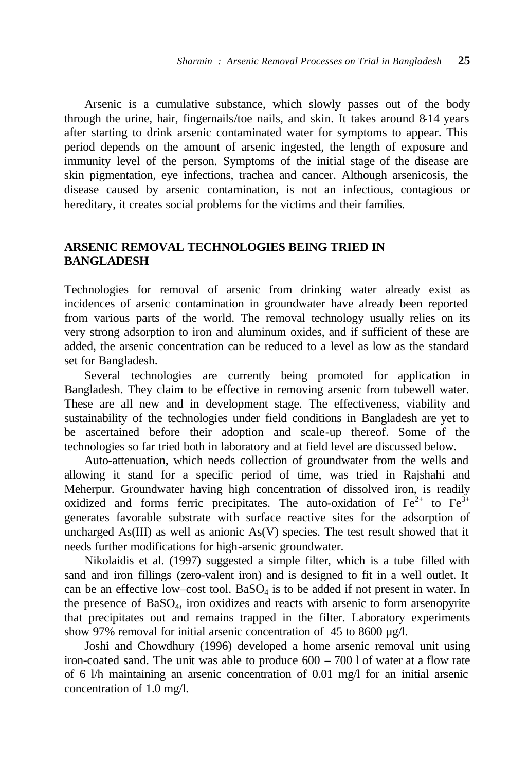Arsenic is a cumulative substance, which slowly passes out of the body through the urine, hair, fingernails/toe nails, and skin. It takes around 8-14 years after starting to drink arsenic contaminated water for symptoms to appear. This period depends on the amount of arsenic ingested, the length of exposure and immunity level of the person. Symptoms of the initial stage of the disease are skin pigmentation, eye infections, trachea and cancer. Although arsenicosis, the disease caused by arsenic contamination, is not an infectious, contagious or hereditary, it creates social problems for the victims and their families.

## **ARSENIC REMOVAL TECHNOLOGIES BEING TRIED IN BANGLADESH**

Technologies for removal of arsenic from drinking water already exist as incidences of arsenic contamination in groundwater have already been reported from various parts of the world. The removal technology usually relies on its very strong adsorption to iron and aluminum oxides, and if sufficient of these are added, the arsenic concentration can be reduced to a level as low as the standard set for Bangladesh.

Several technologies are currently being promoted for application in Bangladesh. They claim to be effective in removing arsenic from tubewell water. These are all new and in development stage. The effectiveness, viability and sustainability of the technologies under field conditions in Bangladesh are yet to be ascertained before their adoption and scale-up thereof. Some of the technologies so far tried both in laboratory and at field level are discussed below.

Auto-attenuation, which needs collection of groundwater from the wells and allowing it stand for a specific period of time, was tried in Rajshahi and Meherpur. Groundwater having high concentration of dissolved iron, is readily oxidized and forms ferric precipitates. The auto-oxidation of  $Fe^{2+}$  to  $Fe^{3+}$ generates favorable substrate with surface reactive sites for the adsorption of uncharged As(III) as well as anionic As(V) species. The test result showed that it needs further modifications for high-arsenic groundwater.

Nikolaidis et al. (1997) suggested a simple filter, which is a tube filled with sand and iron fillings (zero-valent iron) and is designed to fit in a well outlet. It can be an effective low–cost tool.  $BaSO<sub>4</sub>$  is to be added if not present in water. In the presence of BaSO<sub>4</sub>, iron oxidizes and reacts with arsenic to form arsenopyrite that precipitates out and remains trapped in the filter. Laboratory experiments show 97% removal for initial arsenic concentration of 45 to 8600 µg/l.

Joshi and Chowdhury (1996) developed a home arsenic removal unit using iron-coated sand. The unit was able to produce 600 – 700 l of water at a flow rate of 6 l/h maintaining an arsenic concentration of 0.01 mg/l for an initial arsenic concentration of 1.0 mg/l.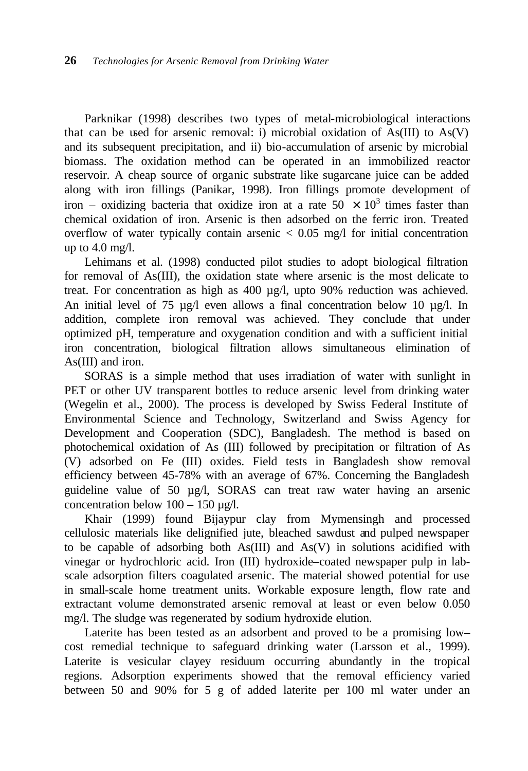Parknikar (1998) describes two types of metal-microbiological interactions that can be used for arsenic removal: i) microbial oxidation of  $As(III)$  to  $As(V)$ and its subsequent precipitation, and ii) bio-accumulation of arsenic by microbial biomass. The oxidation method can be operated in an immobilized reactor reservoir. A cheap source of organic substrate like sugarcane juice can be added along with iron fillings (Panikar, 1998). Iron fillings promote development of iron – oxidizing bacteria that oxidize iron at a rate  $50 \times 10^3$  times faster than chemical oxidation of iron. Arsenic is then adsorbed on the ferric iron. Treated overflow of water typically contain arsenic  $\lt$  0.05 mg/l for initial concentration up to  $4.0 \text{ mg/l}$ .

Lehimans et al. (1998) conducted pilot studies to adopt biological filtration for removal of As(III), the oxidation state where arsenic is the most delicate to treat. For concentration as high as 400 µg/l, upto 90% reduction was achieved. An initial level of 75 µg/l even allows a final concentration below 10 µg/l. In addition, complete iron removal was achieved. They conclude that under optimized pH, temperature and oxygenation condition and with a sufficient initial iron concentration, biological filtration allows simultaneous elimination of As(III) and iron.

SORAS is a simple method that uses irradiation of water with sunlight in PET or other UV transparent bottles to reduce arsenic level from drinking water (Wegelin et al., 2000). The process is developed by Swiss Federal Institute of Environmental Science and Technology, Switzerland and Swiss Agency for Development and Cooperation (SDC), Bangladesh. The method is based on photochemical oxidation of As (III) followed by precipitation or filtration of As (V) adsorbed on Fe (III) oxides. Field tests in Bangladesh show removal efficiency between 45-78% with an average of 67%. Concerning the Bangladesh guideline value of 50 µg/l, SORAS can treat raw water having an arsenic concentration below  $100 - 150 \mu g/l$ .

Khair (1999) found Bijaypur clay from Mymensingh and processed cellulosic materials like delignified jute, bleached sawdust and pulped newspaper to be capable of adsorbing both As(III) and As(V) in solutions acidified with vinegar or hydrochloric acid. Iron (III) hydroxide–coated newspaper pulp in labscale adsorption filters coagulated arsenic. The material showed potential for use in small-scale home treatment units. Workable exposure length, flow rate and extractant volume demonstrated arsenic removal at least or even below 0.050 mg/l. The sludge was regenerated by sodium hydroxide elution.

Laterite has been tested as an adsorbent and proved to be a promising low– cost remedial technique to safeguard drinking water (Larsson et al., 1999). Laterite is vesicular clayey residuum occurring abundantly in the tropical regions. Adsorption experiments showed that the removal efficiency varied between 50 and 90% for 5 g of added laterite per 100 ml water under an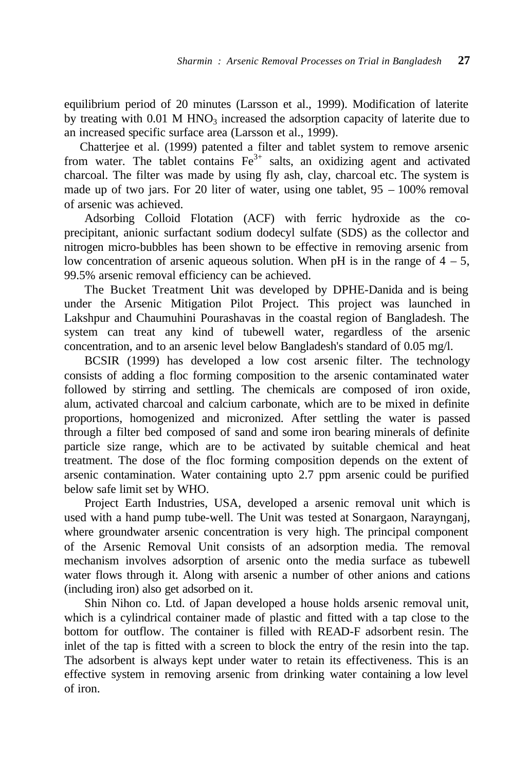equilibrium period of 20 minutes (Larsson et al., 1999). Modification of laterite by treating with  $0.01$  M HNO<sub>3</sub> increased the adsorption capacity of laterite due to an increased specific surface area (Larsson et al., 1999).

Chatterjee et al. (1999) patented a filter and tablet system to remove arsenic from water. The tablet contains  $Fe<sup>3+</sup>$  salts, an oxidizing agent and activated charcoal. The filter was made by using fly ash, clay, charcoal etc. The system is made up of two jars. For 20 liter of water, using one tablet,  $95 - 100\%$  removal of arsenic was achieved.

Adsorbing Colloid Flotation (ACF) with ferric hydroxide as the coprecipitant, anionic surfactant sodium dodecyl sulfate (SDS) as the collector and nitrogen micro-bubbles has been shown to be effective in removing arsenic from low concentration of arsenic aqueous solution. When pH is in the range of  $4 - 5$ , 99.5% arsenic removal efficiency can be achieved.

The Bucket Treatment Unit was developed by DPHE-Danida and is being under the Arsenic Mitigation Pilot Project. This project was launched in Lakshpur and Chaumuhini Pourashavas in the coastal region of Bangladesh. The system can treat any kind of tubewell water, regardless of the arsenic concentration, and to an arsenic level below Bangladesh's standard of 0.05 mg/l.

BCSIR (1999) has developed a low cost arsenic filter. The technology consists of adding a floc forming composition to the arsenic contaminated water followed by stirring and settling. The chemicals are composed of iron oxide, alum, activated charcoal and calcium carbonate, which are to be mixed in definite proportions, homogenized and micronized. After settling the water is passed through a filter bed composed of sand and some iron bearing minerals of definite particle size range, which are to be activated by suitable chemical and heat treatment. The dose of the floc forming composition depends on the extent of arsenic contamination. Water containing upto 2.7 ppm arsenic could be purified below safe limit set by WHO.

Project Earth Industries, USA, developed a arsenic removal unit which is used with a hand pump tube-well. The Unit was tested at Sonargaon, Naraynganj, where groundwater arsenic concentration is very high. The principal component of the Arsenic Removal Unit consists of an adsorption media. The removal mechanism involves adsorption of arsenic onto the media surface as tubewell water flows through it. Along with arsenic a number of other anions and cations (including iron) also get adsorbed on it.

Shin Nihon co. Ltd. of Japan developed a house holds arsenic removal unit, which is a cylindrical container made of plastic and fitted with a tap close to the bottom for outflow. The container is filled with READ-F adsorbent resin. The inlet of the tap is fitted with a screen to block the entry of the resin into the tap. The adsorbent is always kept under water to retain its effectiveness. This is an effective system in removing arsenic from drinking water containing a low level of iron.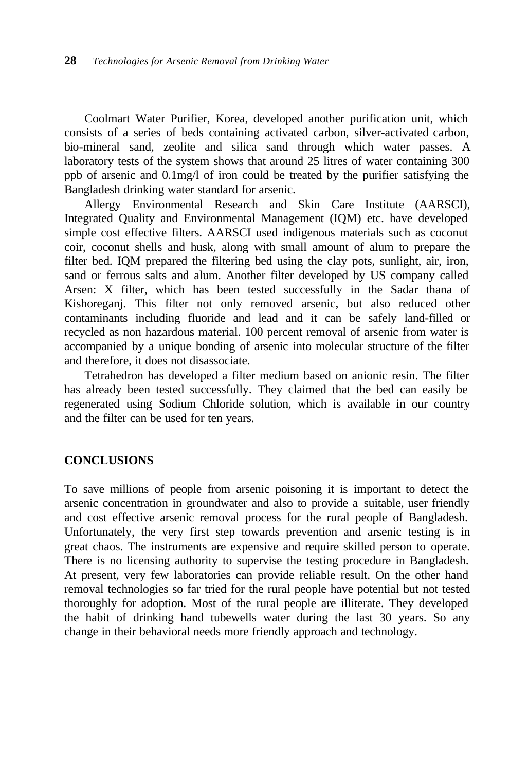Coolmart Water Purifier, Korea, developed another purification unit, which consists of a series of beds containing activated carbon, silver-activated carbon, bio-mineral sand, zeolite and silica sand through which water passes. A laboratory tests of the system shows that around 25 litres of water containing 300 ppb of arsenic and 0.1mg/l of iron could be treated by the purifier satisfying the Bangladesh drinking water standard for arsenic.

Allergy Environmental Research and Skin Care Institute (AARSCI), Integrated Quality and Environmental Management (IQM) etc. have developed simple cost effective filters. AARSCI used indigenous materials such as coconut coir, coconut shells and husk, along with small amount of alum to prepare the filter bed. IQM prepared the filtering bed using the clay pots, sunlight, air, iron, sand or ferrous salts and alum. Another filter developed by US company called Arsen: X filter, which has been tested successfully in the Sadar thana of Kishoreganj. This filter not only removed arsenic, but also reduced other contaminants including fluoride and lead and it can be safely land-filled or recycled as non hazardous material. 100 percent removal of arsenic from water is accompanied by a unique bonding of arsenic into molecular structure of the filter and therefore, it does not disassociate.

Tetrahedron has developed a filter medium based on anionic resin. The filter has already been tested successfully. They claimed that the bed can easily be regenerated using Sodium Chloride solution, which is available in our country and the filter can be used for ten years.

## **CONCLUSIONS**

To save millions of people from arsenic poisoning it is important to detect the arsenic concentration in groundwater and also to provide a suitable, user friendly and cost effective arsenic removal process for the rural people of Bangladesh. Unfortunately, the very first step towards prevention and arsenic testing is in great chaos. The instruments are expensive and require skilled person to operate. There is no licensing authority to supervise the testing procedure in Bangladesh. At present, very few laboratories can provide reliable result. On the other hand removal technologies so far tried for the rural people have potential but not tested thoroughly for adoption. Most of the rural people are illiterate. They developed the habit of drinking hand tubewells water during the last 30 years. So any change in their behavioral needs more friendly approach and technology.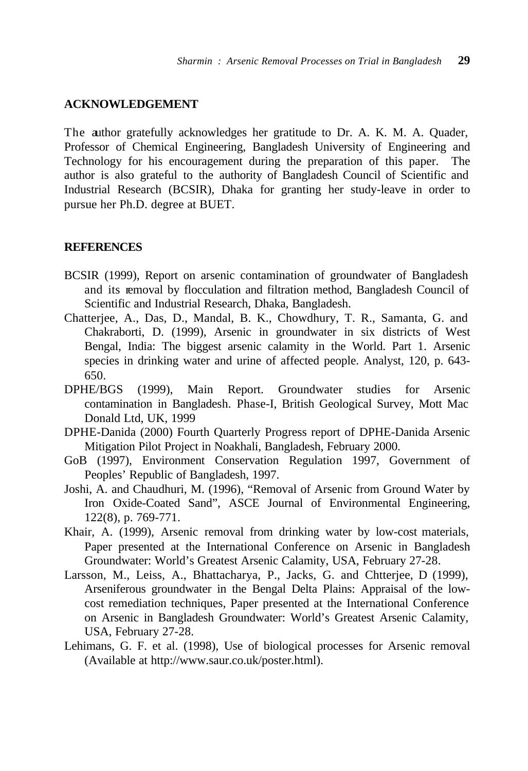## **ACKNOWLEDGEMENT**

The author gratefully acknowledges her gratitude to Dr. A. K. M. A. Quader, Professor of Chemical Engineering, Bangladesh University of Engineering and Technology for his encouragement during the preparation of this paper. The author is also grateful to the authority of Bangladesh Council of Scientific and Industrial Research (BCSIR), Dhaka for granting her study-leave in order to pursue her Ph.D. degree at BUET.

#### **REFERENCES**

- BCSIR (1999), Report on arsenic contamination of groundwater of Bangladesh and its removal by flocculation and filtration method, Bangladesh Council of Scientific and Industrial Research, Dhaka, Bangladesh.
- Chatterjee, A., Das, D., Mandal, B. K., Chowdhury, T. R., Samanta, G. and Chakraborti, D. (1999), Arsenic in groundwater in six districts of West Bengal, India: The biggest arsenic calamity in the World. Part 1. Arsenic species in drinking water and urine of affected people. Analyst, 120, p. 643- 650.
- DPHE/BGS (1999), Main Report. Groundwater studies for Arsenic contamination in Bangladesh. Phase-I, British Geological Survey, Mott Mac Donald Ltd, UK, 1999
- DPHE-Danida (2000) Fourth Quarterly Progress report of DPHE-Danida Arsenic Mitigation Pilot Project in Noakhali, Bangladesh, February 2000.
- GoB (1997), Environment Conservation Regulation 1997, Government of Peoples' Republic of Bangladesh, 1997.
- Joshi, A. and Chaudhuri, M. (1996), "Removal of Arsenic from Ground Water by Iron Oxide-Coated Sand", ASCE Journal of Environmental Engineering, 122(8), p. 769-771.
- Khair, A. (1999), Arsenic removal from drinking water by low-cost materials, Paper presented at the International Conference on Arsenic in Bangladesh Groundwater: World's Greatest Arsenic Calamity, USA, February 27-28.
- Larsson, M., Leiss, A., Bhattacharya, P., Jacks, G. and Chtterjee, D (1999), Arseniferous groundwater in the Bengal Delta Plains: Appraisal of the lowcost remediation techniques, Paper presented at the International Conference on Arsenic in Bangladesh Groundwater: World's Greatest Arsenic Calamity, USA, February 27-28.
- Lehimans, G. F. et al. (1998), Use of biological processes for Arsenic removal (Available at http://www.saur.co.uk/poster.html).